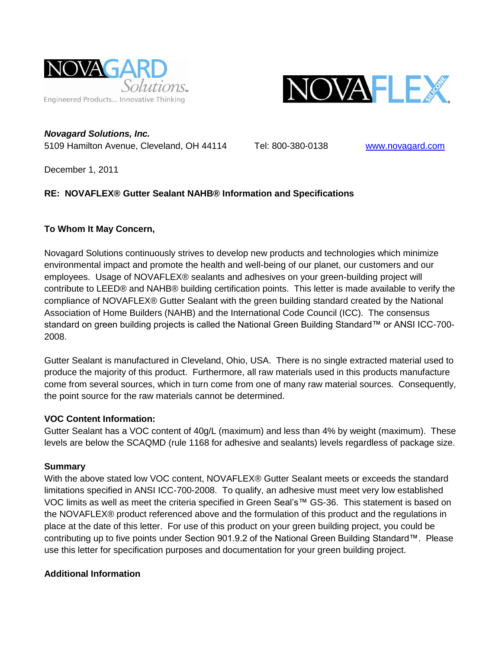



*Novagard Solutions, Inc.* 5109 Hamilton Avenue, Cleveland, OH 44114 Tel: 800-380-0138 [www.novagard.com](http://www.novagard.com/)

December 1, 2011

# **RE: NOVAFLEX® Gutter Sealant NAHB® Information and Specifications**

# **To Whom It May Concern,**

Novagard Solutions continuously strives to develop new products and technologies which minimize environmental impact and promote the health and well-being of our planet, our customers and our employees. Usage of NOVAFLEX® sealants and adhesives on your green-building project will contribute to LEED® and NAHB® building certification points. This letter is made available to verify the compliance of NOVAFLEX® Gutter Sealant with the green building standard created by the National Association of Home Builders (NAHB) and the International Code Council (ICC). The consensus standard on green building projects is called the National Green Building Standard™ or ANSI ICC-700-2008.

Gutter Sealant is manufactured in Cleveland, Ohio, USA. There is no single extracted material used to produce the majority of this product. Furthermore, all raw materials used in this products manufacture come from several sources, which in turn come from one of many raw material sources. Consequently, the point source for the raw materials cannot be determined.

# **VOC Content Information:**

Gutter Sealant has a VOC content of 40g/L (maximum) and less than 4% by weight (maximum). These levels are below the SCAQMD (rule 1168 for adhesive and sealants) levels regardless of package size.

## **Summary**

With the above stated low VOC content, NOVAFLEX® Gutter Sealant meets or exceeds the standard limitations specified in ANSI ICC-700-2008. To qualify, an adhesive must meet very low established VOC limits as well as meet the criteria specified in Green Seal's™ GS-36. This statement is based on the NOVAFLEX® product referenced above and the formulation of this product and the regulations in place at the date of this letter. For use of this product on your green building project, you could be contributing up to five points under Section 901.9.2 of the National Green Building Standard™. Please use this letter for specification purposes and documentation for your green building project.

# **Additional Information**